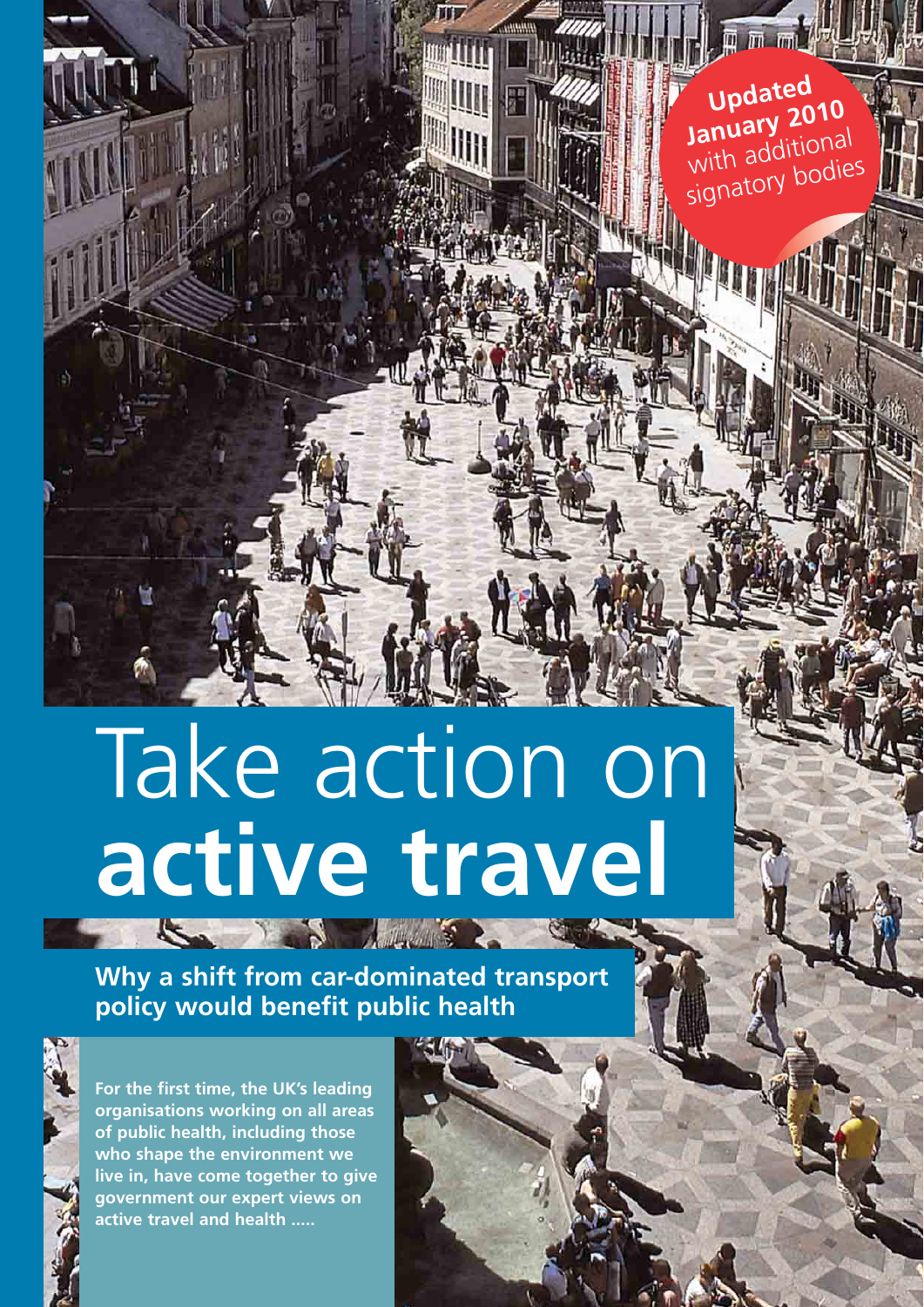**Updated January 2010** with additional signatory bodies

**Why a shift from car-dominated transport policy would benefit public health**



**For the first time, the UK's leading organisations working on all areas of public health, including those who shape the environment we live in, have come together to give government our expert views on active travel and health .....**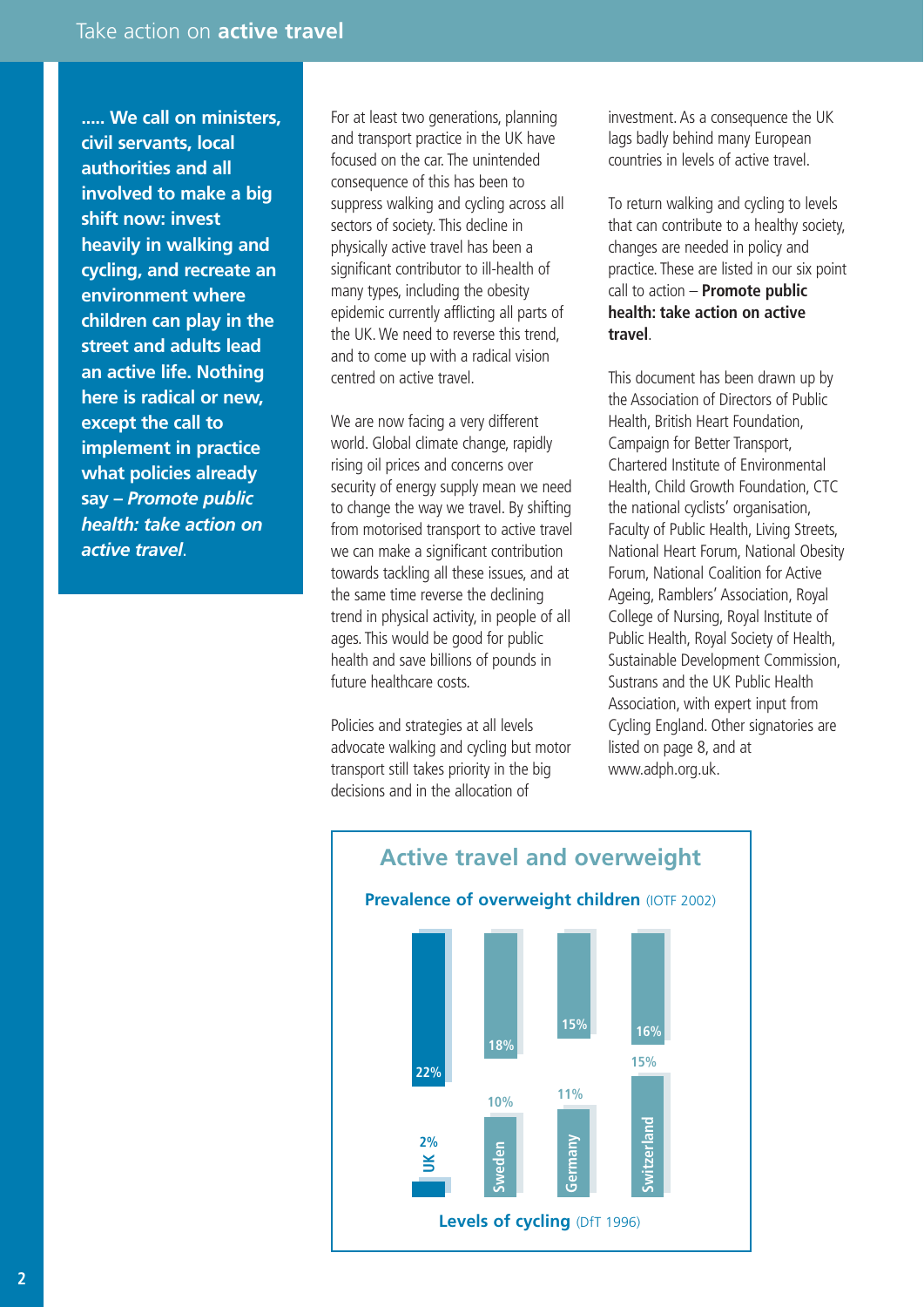**..... We call on ministers, civil servants, local authorities and all involved to make a big shift now: invest heavily in walking and cycling, and recreate an environment where children can play in the street and adults lead an active life. Nothing here is radical or new, except the call to implement in practice what policies already say –** *Promote public health: take action on active travel*.

For at least two generations, planning and transport practice in the UK have focused on the car. The unintended consequence of this has been to suppress walking and cycling across all sectors of society. This decline in physically active travel has been a significant contributor to ill-health of many types, including the obesity epidemic currently afflicting all parts of the UK. We need to reverse this trend, and to come up with a radical vision centred on active travel.

We are now facing a very different world. Global climate change, rapidly rising oil prices and concerns over security of energy supply mean we need to change the way we travel. By shifting from motorised transport to active travel we can make a significant contribution towards tackling all these issues, and at the same time reverse the declining trend in physical activity, in people of all ages. This would be good for public health and save billions of pounds in future healthcare costs.

Policies and strategies at all levels advocate walking and cycling but motor transport still takes priority in the big decisions and in the allocation of

investment. As a consequence the UK lags badly behind many European countries in levels of active travel.

To return walking and cycling to levels that can contribute to a healthy society, changes are needed in policy and practice. These are listed in our six point call to action – **Promote public health: take action on active travel**.

This document has been drawn up by the Association of Directors of Public Health, British Heart Foundation, Campaign for Better Transport, Chartered Institute of Environmental Health, Child Growth Foundation, CTC the national cyclists' organisation, Faculty of Public Health, Living Streets, National Heart Forum, National Obesity Forum, National Coalition for Active Ageing, Ramblers' Association, Royal College of Nursing, Royal Institute of Public Health, Royal Society of Health, Sustainable Development Commission, Sustrans and the UK Public Health Association, with expert input from Cycling England. Other signatories are listed on page 8, and at www.adph.org.uk.



**2**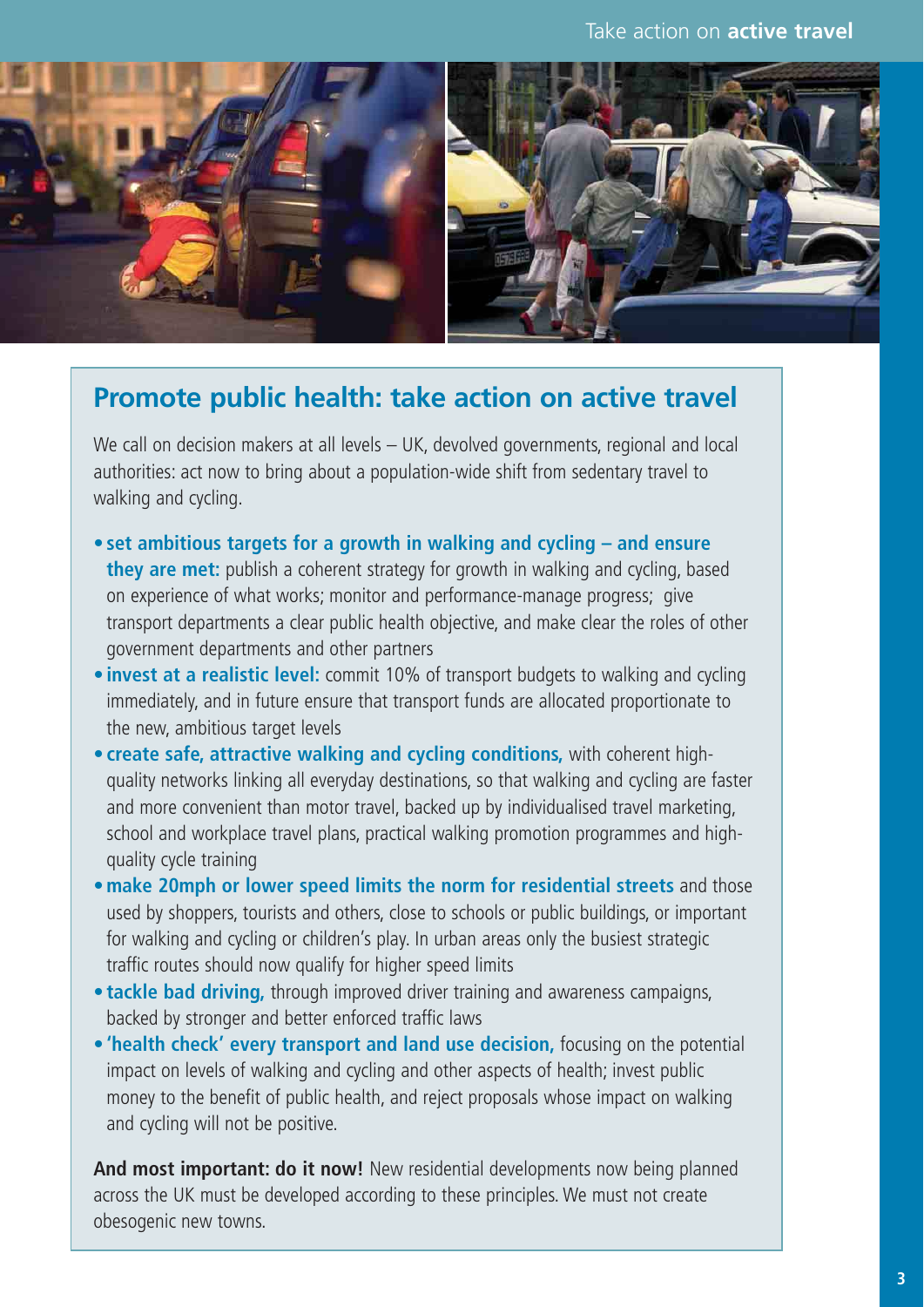

## **Promote public health: take action on active travel**

We call on decision makers at all levels – UK, devolved governments, regional and local authorities: act now to bring about a population-wide shift from sedentary travel to walking and cycling.

- **set ambitious targets for a growth in walking and cycling and ensure they are met:** publish a coherent strategy for growth in walking and cycling, based on experience of what works; monitor and performance-manage progress; give transport departments a clear public health objective, and make clear the roles of other government departments and other partners
- **invest at a realistic level:** commit 10% of transport budgets to walking and cycling immediately, and in future ensure that transport funds are allocated proportionate to the new, ambitious target levels
- **create safe, attractive walking and cycling conditions,** with coherent highquality networks linking all everyday destinations, so that walking and cycling are faster and more convenient than motor travel, backed up by individualised travel marketing, school and workplace travel plans, practical walking promotion programmes and highquality cycle training
- •**make 20mph or lower speed limits the norm for residential streets** and those used by shoppers, tourists and others, close to schools or public buildings, or important for walking and cycling or children's play. In urban areas only the busiest strategic traffic routes should now qualify for higher speed limits
- **tackle bad driving,** through improved driver training and awareness campaigns, backed by stronger and better enforced traffic laws
- **'health check' every transport and land use decision,** focusing on the potential impact on levels of walking and cycling and other aspects of health; invest public money to the benefit of public health, and reject proposals whose impact on walking and cycling will not be positive.

**And most important: do it now!** New residential developments now being planned across the UK must be developed according to these principles. We must not create obesogenic new towns.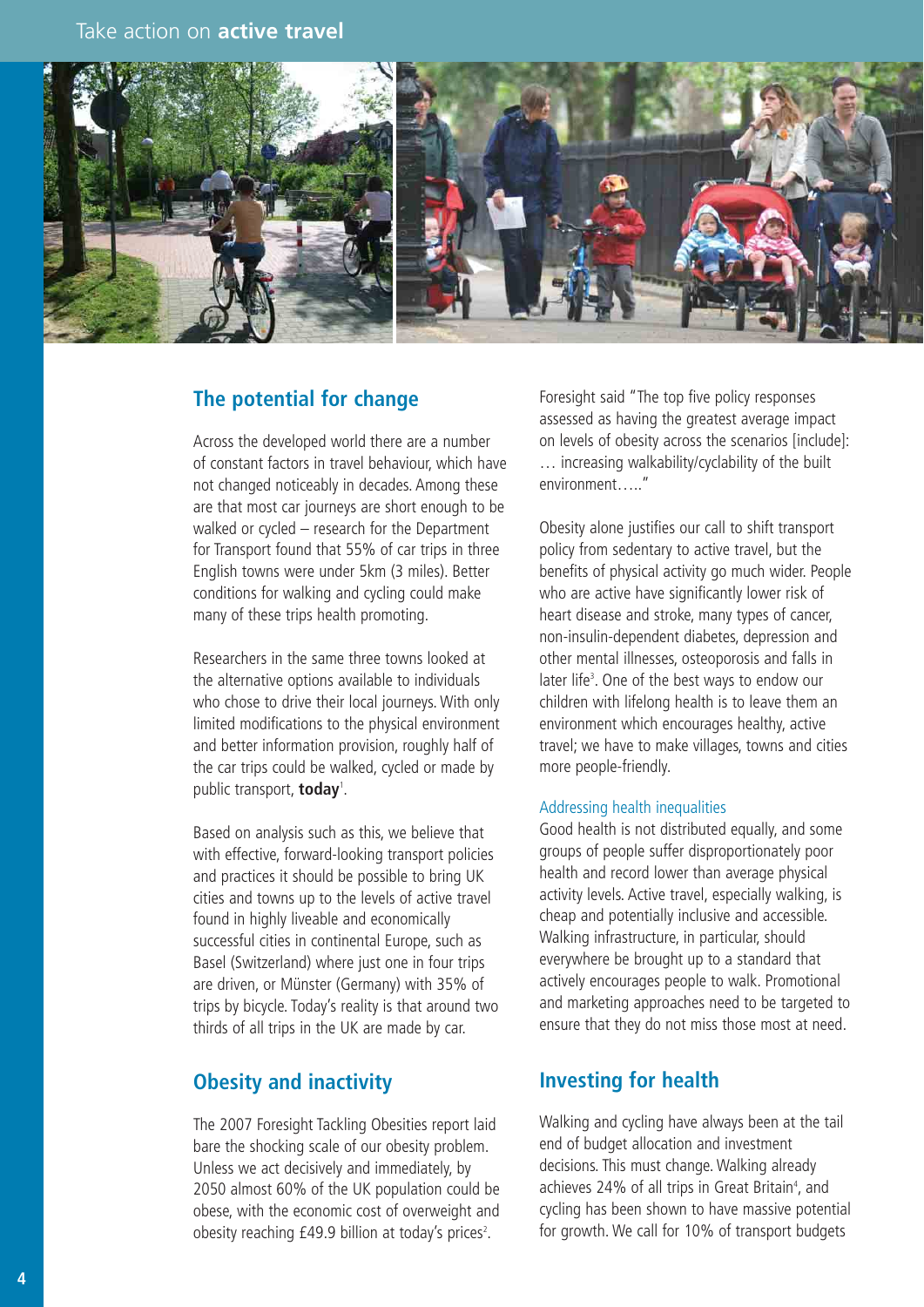

#### **The potential for change**

Across the developed world there are a number of constant factors in travel behaviour, which have not changed noticeably in decades. Among these are that most car journeys are short enough to be walked or cycled – research for the Department for Transport found that 55% of car trips in three English towns were under 5km (3 miles). Better conditions for walking and cycling could make many of these trips health promoting.

Researchers in the same three towns looked at the alternative options available to individuals who chose to drive their local journeys. With only limited modifications to the physical environment and better information provision, roughly half of the car trips could be walked, cycled or made by public transport, **today**<sup>1</sup> .

Based on analysis such as this, we believe that with effective, forward-looking transport policies and practices it should be possible to bring UK cities and towns up to the levels of active travel found in highly liveable and economically successful cities in continental Europe, such as Basel (Switzerland) where just one in four trips are driven, or Münster (Germany) with 35% of trips by bicycle. Today's reality is that around two thirds of all trips in the UK are made by car.

#### **Obesity and inactivity**

The 2007 Foresight Tackling Obesities report laid bare the shocking scale of our obesity problem. Unless we act decisively and immediately, by 2050 almost 60% of the UK population could be obese, with the economic cost of overweight and obesity reaching  $£49.9$  billion at today's prices<sup>2</sup>.

Foresight said "The top five policy responses assessed as having the greatest average impact on levels of obesity across the scenarios [include]: … increasing walkability/cyclability of the built environment….."

Obesity alone justifies our call to shift transport policy from sedentary to active travel, but the benefits of physical activity go much wider. People who are active have significantly lower risk of heart disease and stroke, many types of cancer, non-insulin-dependent diabetes, depression and other mental illnesses, osteoporosis and falls in later life<sup>3</sup>. One of the best ways to endow our children with lifelong health is to leave them an environment which encourages healthy, active travel; we have to make villages, towns and cities more people-friendly.

#### Addressing health inequalities

Good health is not distributed equally, and some groups of people suffer disproportionately poor health and record lower than average physical activity levels. Active travel, especially walking, is cheap and potentially inclusive and accessible. Walking infrastructure, in particular, should everywhere be brought up to a standard that actively encourages people to walk. Promotional and marketing approaches need to be targeted to ensure that they do not miss those most at need.

#### **Investing for health**

Walking and cycling have always been at the tail end of budget allocation and investment decisions. This must change. Walking already achieves 24% of all trips in Great Britain<sup>4</sup>, and cycling has been shown to have massive potential for growth. We call for 10% of transport budgets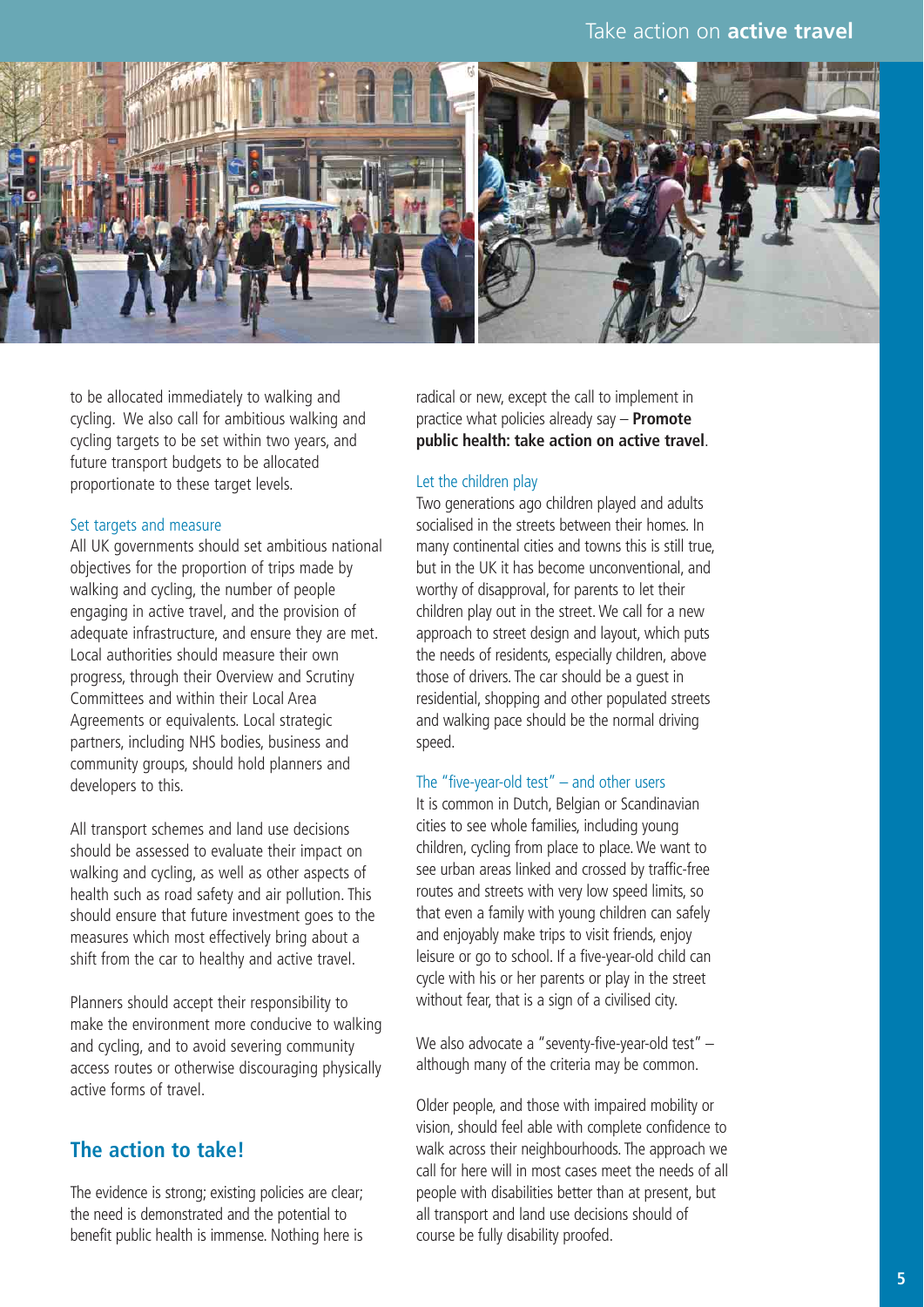

to be allocated immediately to walking and cycling. We also call for ambitious walking and cycling targets to be set within two years, and future transport budgets to be allocated proportionate to these target levels.

#### Set targets and measure

All UK governments should set ambitious national objectives for the proportion of trips made by walking and cycling, the number of people engaging in active travel, and the provision of adequate infrastructure, and ensure they are met. Local authorities should measure their own progress, through their Overview and Scrutiny Committees and within their Local Area Agreements or equivalents. Local strategic partners, including NHS bodies, business and community groups, should hold planners and developers to this.

All transport schemes and land use decisions should be assessed to evaluate their impact on walking and cycling, as well as other aspects of health such as road safety and air pollution. This should ensure that future investment goes to the measures which most effectively bring about a shift from the car to healthy and active travel.

Planners should accept their responsibility to make the environment more conducive to walking and cycling, and to avoid severing community access routes or otherwise discouraging physically active forms of travel.

#### **The action to take!**

The evidence is strong; existing policies are clear; the need is demonstrated and the potential to benefit public health is immense. Nothing here is

radical or new, except the call to implement in practice what policies already say – **Promote public health: take action on active travel**.

#### Let the children play

Two generations ago children played and adults socialised in the streets between their homes. In many continental cities and towns this is still true, but in the UK it has become unconventional, and worthy of disapproval, for parents to let their children play out in the street. We call for a new approach to street design and layout, which puts the needs of residents, especially children, above those of drivers. The car should be a guest in residential, shopping and other populated streets and walking pace should be the normal driving speed.

#### The "five-year-old test" – and other users

It is common in Dutch, Belgian or Scandinavian cities to see whole families, including young children, cycling from place to place. We want to see urban areas linked and crossed by traffic-free routes and streets with very low speed limits, so that even a family with young children can safely and enjoyably make trips to visit friends, enjoy leisure or go to school. If a five-year-old child can cycle with his or her parents or play in the street without fear, that is a sign of a civilised city.

We also advocate a "seventy-five-year-old test" although many of the criteria may be common.

Older people, and those with impaired mobility or vision, should feel able with complete confidence to walk across their neighbourhoods. The approach we call for here will in most cases meet the needs of all people with disabilities better than at present, but all transport and land use decisions should of course be fully disability proofed.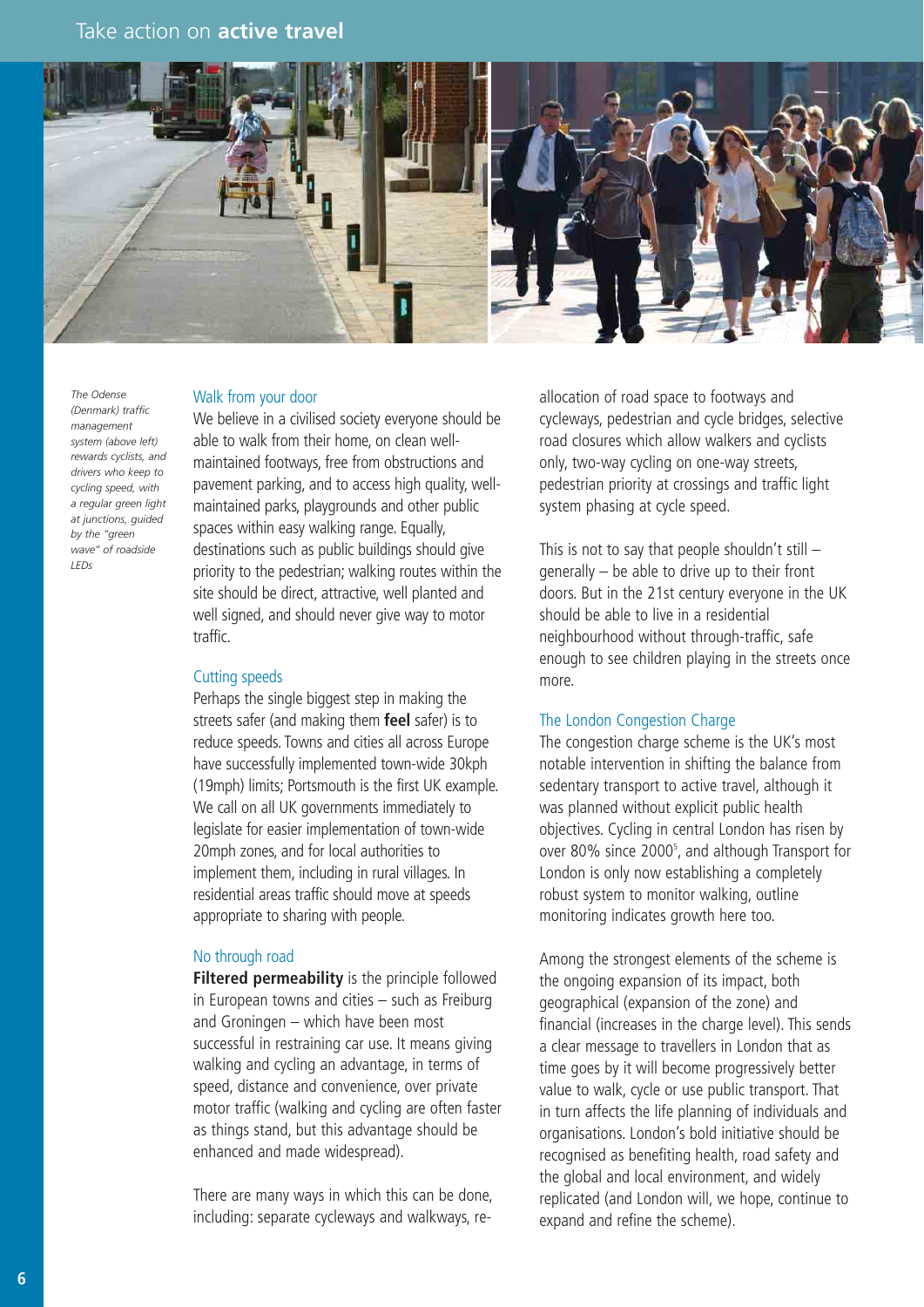

*The Odense (Denmark) traffic management system (above left) rewards cyclists, and drivers who keep to cycling speed, with a regular green light at junctions, guided by the "green wave" of roadside LEDs*

#### Walk from your door

We believe in a civilised society everyone should be able to walk from their home, on clean wellmaintained footways, free from obstructions and pavement parking, and to access high quality, wellmaintained parks, playgrounds and other public spaces within easy walking range. Equally, destinations such as public buildings should give priority to the pedestrian; walking routes within the site should be direct, attractive, well planted and well signed, and should never give way to motor traffic.

#### Cutting speeds

Perhaps the single biggest step in making the streets safer (and making them **feel** safer) is to reduce speeds. Towns and cities all across Europe have successfully implemented town-wide 30kph (19mph) limits; Portsmouth is the first UK example. We call on all UK governments immediately to legislate for easier implementation of town-wide 20mph zones, and for local authorities to implement them, including in rural villages. In residential areas traffic should move at speeds appropriate to sharing with people.

#### No through road

**Filtered permeability** is the principle followed in European towns and cities – such as Freiburg and Groningen – which have been most successful in restraining car use. It means giving walking and cycling an advantage, in terms of speed, distance and convenience, over private motor traffic (walking and cycling are often faster as things stand, but this advantage should be enhanced and made widespread).

There are many ways in which this can be done, including: separate cycleways and walkways, reallocation of road space to footways and cycleways, pedestrian and cycle bridges, selective road closures which allow walkers and cyclists only, two-way cycling on one-way streets, pedestrian priority at crossings and traffic light system phasing at cycle speed.

This is not to say that people shouldn't still  $$ generally – be able to drive up to their front doors. But in the 21st century everyone in the UK should be able to live in a residential neighbourhood without through-traffic, safe enough to see children playing in the streets once more.

#### The London Congestion Charge

The congestion charge scheme is the UK's most notable intervention in shifting the balance from sedentary transport to active travel, although it was planned without explicit public health objectives. Cycling in central London has risen by over 80% since 2000<sup>5</sup>, and although Transport for London is only now establishing a completely robust system to monitor walking, outline monitoring indicates growth here too.

Among the strongest elements of the scheme is the ongoing expansion of its impact, both geographical (expansion of the zone) and financial (increases in the charge level). This sends a clear message to travellers in London that as time goes by it will become progressively better value to walk, cycle or use public transport. That in turn affects the life planning of individuals and organisations. London's bold initiative should be recognised as benefiting health, road safety and the global and local environment, and widely replicated (and London will, we hope, continue to expand and refine the scheme).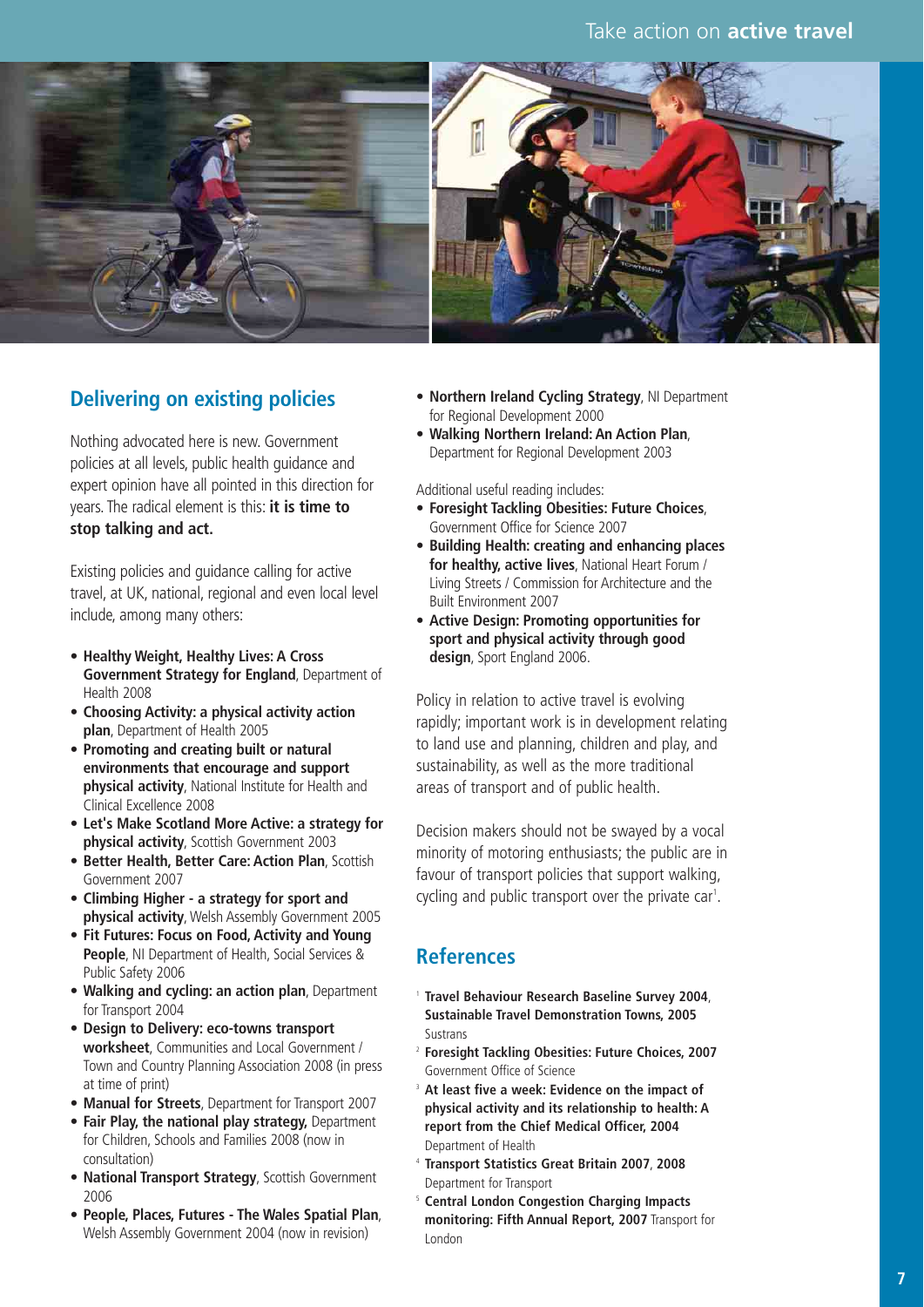

#### **Delivering on existing policies**

Nothing advocated here is new. Government policies at all levels, public health guidance and expert opinion have all pointed in this direction for years. The radical element is this: **it is time to stop talking and act.**

Existing policies and guidance calling for active travel, at UK, national, regional and even local level include, among many others:

- **Healthy Weight, Healthy Lives: A Cross Government Strategy for England**, Department of Health 2008
- **Choosing Activity: a physical activity action plan**, Department of Health 2005
- **Promoting and creating built or natural environments that encourage and support physical activity**, National Institute for Health and Clinical Excellence 2008
- **Let's Make Scotland More Active: a strategy for physical activity**, Scottish Government 2003
- **Better Health, Better Care: Action Plan**, Scottish Government 2007
- **Climbing Higher a strategy for sport and physical activity**, Welsh Assembly Government 2005
- **Fit Futures: Focus on Food, Activity and Young People**, NI Department of Health, Social Services & Public Safety 2006
- **Walking and cycling: an action plan**, Department for Transport 2004
- **Design to Delivery: eco-towns transport worksheet**, Communities and Local Government / Town and Country Planning Association 2008 (in press at time of print)
- **Manual for Streets**, Department for Transport 2007
- **Fair Play, the national play strategy,** Department for Children, Schools and Families 2008 (now in consultation)
- **National Transport Strategy**, Scottish Government 2006
- **People, Places, Futures The Wales Spatial Plan**, Welsh Assembly Government 2004 (now in revision)
- **Northern Ireland Cycling Strategy**, NI Department for Regional Development 2000
- **Walking Northern Ireland: An Action Plan**, Department for Regional Development 2003

Additional useful reading includes:

- **Foresight Tackling Obesities: Future Choices**, Government Office for Science 2007
- **Building Health: creating and enhancing places for healthy, active lives**, National Heart Forum / Living Streets / Commission for Architecture and the Built Environment 2007
- **Active Design: Promoting opportunities for sport and physical activity through good design**, Sport England 2006.

Policy in relation to active travel is evolving rapidly; important work is in development relating to land use and planning, children and play, and sustainability, as well as the more traditional areas of transport and of public health.

Decision makers should not be swayed by a vocal minority of motoring enthusiasts; the public are in favour of transport policies that support walking, cycling and public transport over the private car<sup>1</sup>.

#### **References**

- <sup>1</sup> **Travel Behaviour Research Baseline Survey 2004**, **Sustainable Travel Demonstration Towns, 2005** Sustrans
- <sup>2</sup> **Foresight Tackling Obesities: Future Choices, 2007** Government Office of Science
- <sup>3</sup> **At least five a week: Evidence on the impact of physical activity and its relationship to health: A report from the Chief Medical Officer, 2004** Department of Health
- <sup>4</sup> **Transport Statistics Great Britain 2007**, **2008** Department for Transport
- <sup>5</sup> **Central London Congestion Charging Impacts monitoring: Fifth Annual Report, 2007** Transport for London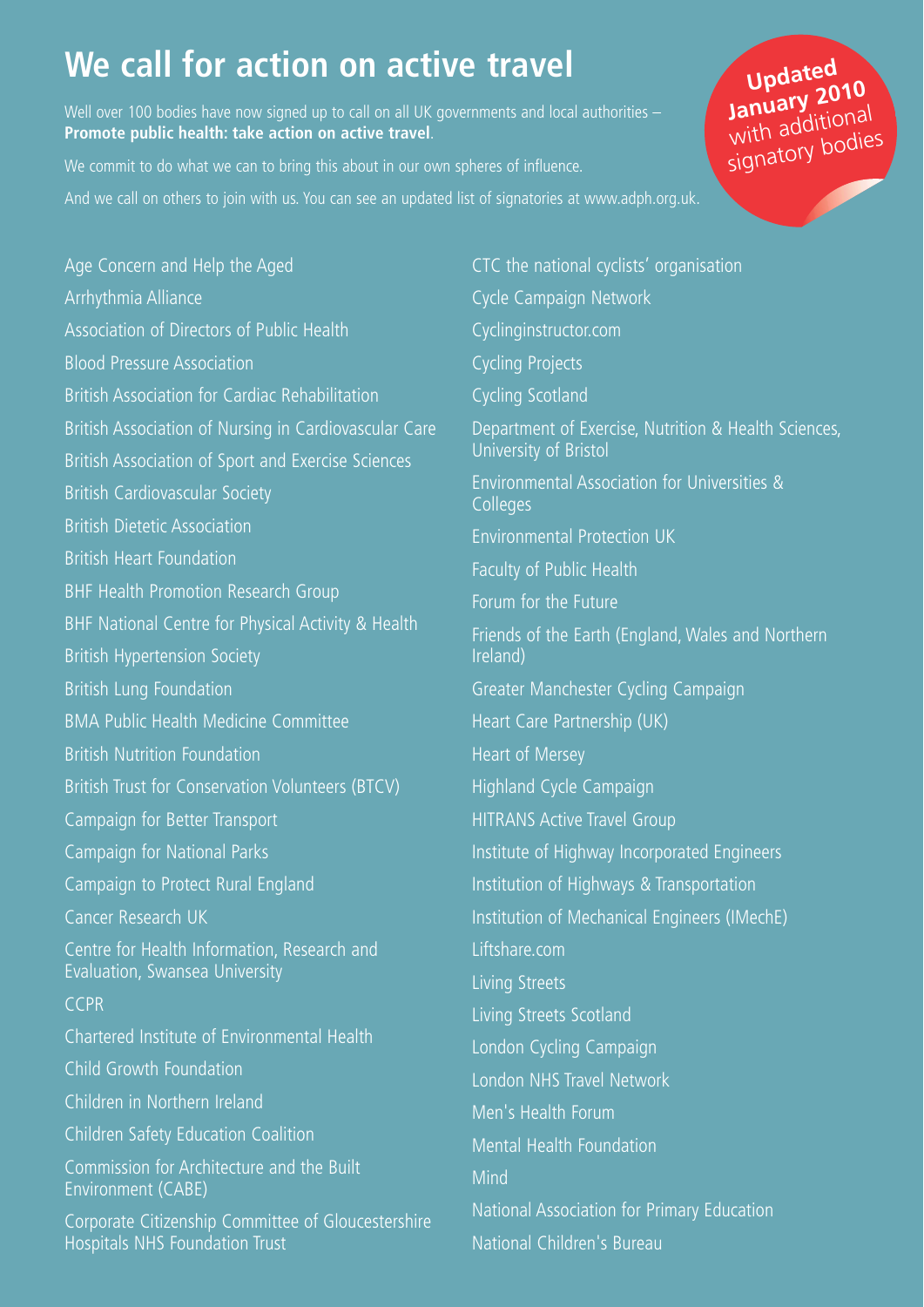# **We call for action on active travel**

Well over 100 bodies have now signed up to call on all UK governments and local authorities – **Promote public health: take action on active travel**.

We commit to do what we can to bring this about in our own spheres of influence.

And we call on others to join with us. You can see an updated list of signatories at www.adph.org.uk.

Age Concern and Help the Aged Arrhythmia Alliance Association of Directors of Public Health Blood Pressure Association British Association for Cardiac Rehabilitation British Association of Nursing in Cardiovascular Care British Association of Sport and Exercise Sciences British Cardiovascular Society British Dietetic Association British Heart Foundation BHF Health Promotion Research Group BHF National Centre for Physical Activity & Health British Hypertension Society British Lung Foundation BMA Public Health Medicine Committee British Nutrition Foundation British Trust for Conservation Volunteers (BTCV) Campaign for Better Transport Campaign for National Parks Campaign to Protect Rural England Cancer Research UK Centre for Health Information, Research and Evaluation, Swansea University **CCPR** Chartered Institute of Environmental Health Child Growth Foundation Children in Northern Ireland Children Safety Education Coalition Commission for Architecture and the Built Environment (CABE) Corporate Citizenship Committee of Gloucestershire Hospitals NHS Foundation Trust

CTC the national cyclists' organisation Cycle Campaign Network Cyclinginstructor.com Cycling Projects Cycling Scotland Department of Exercise, Nutrition & Health Sciences, University of Bristol Environmental Association for Universities & **Colleges** Environmental Protection UK Faculty of Public Health Forum for the Future Friends of the Earth (England, Wales and Northern Ireland) Greater Manchester Cycling Campaign Heart Care Partnership (UK) Heart of Mersey Highland Cycle Campaign HITRANS Active Travel Group Institute of Highway Incorporated Engineers Institution of Highways & Transportation Institution of Mechanical Engineers (IMechE) Liftshare.com Living Streets Living Streets Scotland London Cycling Campaign London NHS Travel Network Men's Health Forum Mental Health Foundation Mind National Association for Primary Education

National Children's Bureau

### **Updated January 2010** with additional signatory bodies